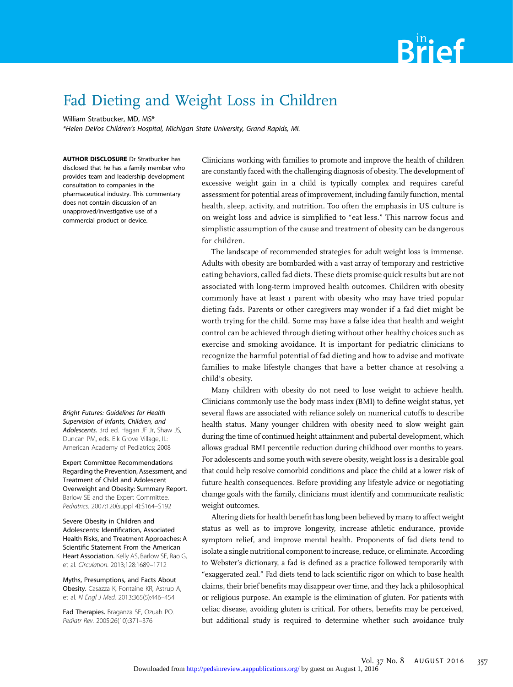

## Fad Dieting and Weight Loss in Children

William Stratbucker, MD, MS\*

\*Helen DeVos Children's Hospital, Michigan State University, Grand Rapids, MI.

AUTHOR DISCLOSURE Dr Stratbucker has disclosed that he has a family member who provides team and leadership development consultation to companies in the pharmaceutical industry. This commentary does not contain discussion of an unapproved/investigative use of a commercial product or device.

Bright Futures: Guidelines for Health Supervision of Infants, Children, and Adolescents. 3rd ed. Hagan JF Jr, Shaw JS, Duncan PM, eds. Elk Grove Village, IL: American Academy of Pediatrics; 2008

Expert Committee Recommendations Regarding the Prevention, Assessment, and Treatment of Child and Adolescent Overweight and Obesity: Summary Report. Barlow SE and the Expert Committee. Pediatrics. 2007;120(suppl 4):S164–S192

Severe Obesity in Children and Adolescents: Identification, Associated Health Risks, and Treatment Approaches: A Scientific Statement From the American Heart Association. Kelly AS, Barlow SE, Rao G, et al. Circulation. 2013;128:1689–1712

Myths, Presumptions, and Facts About Obesity. Casazza K, Fontaine KR, Astrup A, et al. N Engl J Med. 2013;365(5):446–454

Fad Therapies. Braganza SF, Ozuah PO. Pediatr Rev. 2005;26(10):371–376

Clinicians working with families to promote and improve the health of children are constantly faced with the challenging diagnosis of obesity. The development of excessive weight gain in a child is typically complex and requires careful assessment for potential areas of improvement, including family function, mental health, sleep, activity, and nutrition. Too often the emphasis in US culture is on weight loss and advice is simplified to "eat less." This narrow focus and simplistic assumption of the cause and treatment of obesity can be dangerous for children.

The landscape of recommended strategies for adult weight loss is immense. Adults with obesity are bombarded with a vast array of temporary and restrictive eating behaviors, called fad diets. These diets promise quick results but are not associated with long-term improved health outcomes. Children with obesity commonly have at least 1 parent with obesity who may have tried popular dieting fads. Parents or other caregivers may wonder if a fad diet might be worth trying for the child. Some may have a false idea that health and weight control can be achieved through dieting without other healthy choices such as exercise and smoking avoidance. It is important for pediatric clinicians to recognize the harmful potential of fad dieting and how to advise and motivate families to make lifestyle changes that have a better chance at resolving a child's obesity.

Many children with obesity do not need to lose weight to achieve health. Clinicians commonly use the body mass index (BMI) to define weight status, yet several flaws are associated with reliance solely on numerical cutoffs to describe health status. Many younger children with obesity need to slow weight gain during the time of continued height attainment and pubertal development, which allows gradual BMI percentile reduction during childhood over months to years. For adolescents and some youth with severe obesity, weight loss is a desirable goal that could help resolve comorbid conditions and place the child at a lower risk of future health consequences. Before providing any lifestyle advice or negotiating change goals with the family, clinicians must identify and communicate realistic weight outcomes.

Altering diets for health benefit has long been believed by many to affect weight status as well as to improve longevity, increase athletic endurance, provide symptom relief, and improve mental health. Proponents of fad diets tend to isolate a single nutritional component to increase, reduce, or eliminate. According to Webster's dictionary, a fad is defined as a practice followed temporarily with "exaggerated zeal." Fad diets tend to lack scientific rigor on which to base health claims, their brief benefits may disappear over time, and they lack a philosophical or religious purpose. An example is the elimination of gluten. For patients with celiac disease, avoiding gluten is critical. For others, benefits may be perceived, but additional study is required to determine whether such avoidance truly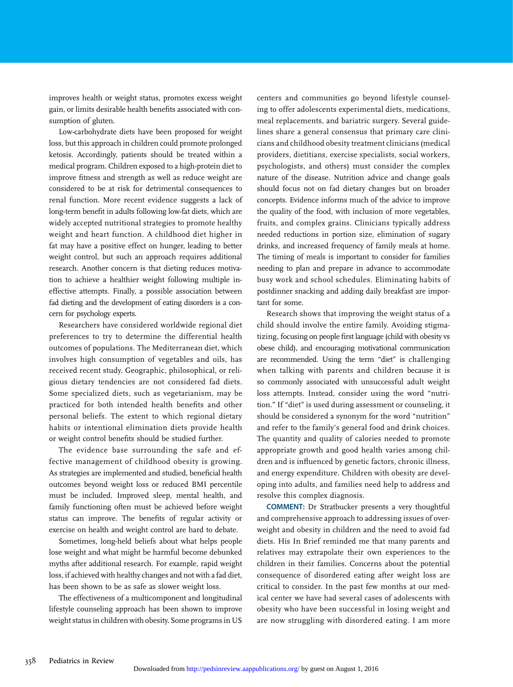improves health or weight status, promotes excess weight gain, or limits desirable health benefits associated with consumption of gluten.

Low-carbohydrate diets have been proposed for weight loss, but this approach in children could promote prolonged ketosis. Accordingly, patients should be treated within a medical program. Children exposed to a high-protein diet to improve fitness and strength as well as reduce weight are considered to be at risk for detrimental consequences to renal function. More recent evidence suggests a lack of long-term benefit in adults following low-fat diets, which are widely accepted nutritional strategies to promote healthy weight and heart function. A childhood diet higher in fat may have a positive effect on hunger, leading to better weight control, but such an approach requires additional research. Another concern is that dieting reduces motivation to achieve a healthier weight following multiple ineffective attempts. Finally, a possible association between fad dieting and the development of eating disorders is a concern for psychology experts.

Researchers have considered worldwide regional diet preferences to try to determine the differential health outcomes of populations. The Mediterranean diet, which involves high consumption of vegetables and oils, has received recent study. Geographic, philosophical, or religious dietary tendencies are not considered fad diets. Some specialized diets, such as vegetarianism, may be practiced for both intended health benefits and other personal beliefs. The extent to which regional dietary habits or intentional elimination diets provide health or weight control benefits should be studied further.

The evidence base surrounding the safe and effective management of childhood obesity is growing. As strategies are implemented and studied, beneficial health outcomes beyond weight loss or reduced BMI percentile must be included. Improved sleep, mental health, and family functioning often must be achieved before weight status can improve. The benefits of regular activity or exercise on health and weight control are hard to debate.

Sometimes, long-held beliefs about what helps people lose weight and what might be harmful become debunked myths after additional research. For example, rapid weight loss, if achieved with healthy changes and not with a fad diet, has been shown to be as safe as slower weight loss.

The effectiveness of a multicomponent and longitudinal lifestyle counseling approach has been shown to improve weight status in children with obesity. Some programs in US centers and communities go beyond lifestyle counseling to offer adolescents experimental diets, medications, meal replacements, and bariatric surgery. Several guidelines share a general consensus that primary care clinicians and childhood obesity treatment clinicians (medical providers, dietitians, exercise specialists, social workers, psychologists, and others) must consider the complex nature of the disease. Nutrition advice and change goals should focus not on fad dietary changes but on broader concepts. Evidence informs much of the advice to improve the quality of the food, with inclusion of more vegetables, fruits, and complex grains. Clinicians typically address needed reductions in portion size, elimination of sugary drinks, and increased frequency of family meals at home. The timing of meals is important to consider for families needing to plan and prepare in advance to accommodate busy work and school schedules. Eliminating habits of postdinner snacking and adding daily breakfast are important for some.

Research shows that improving the weight status of a child should involve the entire family. Avoiding stigmatizing, focusing on people first language (child with obesity vs obese child), and encouraging motivational communication are recommended. Using the term "diet" is challenging when talking with parents and children because it is so commonly associated with unsuccessful adult weight loss attempts. Instead, consider using the word "nutrition." If "diet" is used during assessment or counseling, it should be considered a synonym for the word "nutrition" and refer to the family's general food and drink choices. The quantity and quality of calories needed to promote appropriate growth and good health varies among children and is influenced by genetic factors, chronic illness, and energy expenditure. Children with obesity are developing into adults, and families need help to address and resolve this complex diagnosis.

COMMENT: Dr Stratbucker presents a very thoughtful and comprehensive approach to addressing issues of overweight and obesity in children and the need to avoid fad diets. His In Brief reminded me that many parents and relatives may extrapolate their own experiences to the children in their families. Concerns about the potential consequence of disordered eating after weight loss are critical to consider. In the past few months at our medical center we have had several cases of adolescents with obesity who have been successful in losing weight and are now struggling with disordered eating. I am more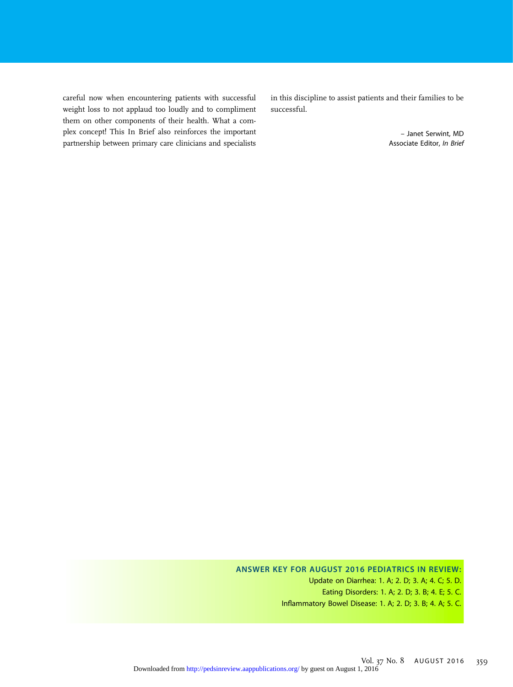careful now when encountering patients with successful weight loss to not applaud too loudly and to compliment them on other components of their health. What a complex concept! This In Brief also reinforces the important partnership between primary care clinicians and specialists

in this discipline to assist patients and their families to be successful.

> – Janet Serwint, MD Associate Editor, In Brief

ANSWER KEY FOR AUGUST 2016 PEDIATRICS IN REVIEW:

Update on Diarrhea: 1. A; 2. D; 3. A; 4. C; 5. D.

Eating Disorders: 1. A; 2. D; 3. B; 4. E; 5. C.

Inflammatory Bowel Disease: 1. A; 2. D; 3. B; 4. A; 5. C.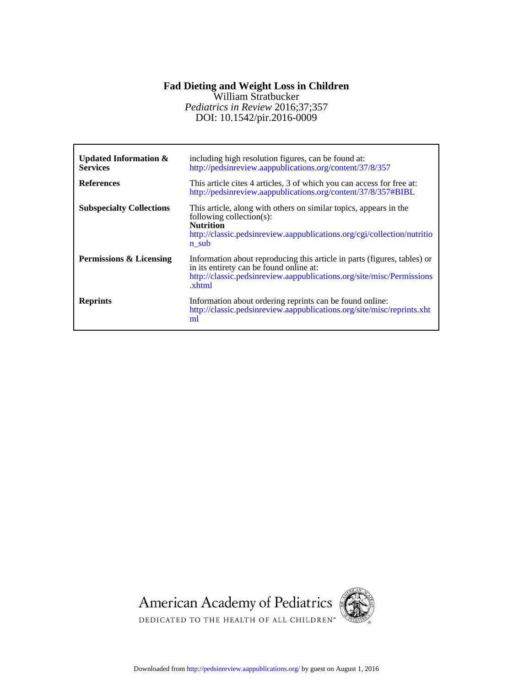## DOI: 10.1542/pir.2016-0009 *Pediatrics in Review* 2016;37;357 William Stratbucker **Fad Dieting and Weight Loss in Children**

| Updated Information $\&$<br><b>Services</b> | including high resolution figures, can be found at:<br>http://pedsinreview.aappublications.org/content/37/8/357                                                                                        |
|---------------------------------------------|--------------------------------------------------------------------------------------------------------------------------------------------------------------------------------------------------------|
| <b>References</b>                           | This article cites 4 articles, 3 of which you can access for free at:<br>http://pedsinreview.aappublications.org/content/37/8/357#BIBL                                                                 |
| <b>Subspecialty Collections</b>             | This article, along with others on similar topics, appears in the<br>following collection(s):<br><b>Nutrition</b><br>http://classic.pedsinreview.aappublications.org/cgi/collection/nutritio<br>n sub  |
| Permissions & Licensing                     | Information about reproducing this article in parts (figures, tables) or<br>in its entirety can be found online at:<br>http://classic.pedsinreview.aappublications.org/site/misc/Permissions<br>.xhtml |
| <b>Reprints</b>                             | Information about ordering reprints can be found online:<br>http://classic.pedsinreview.aappublications.org/site/misc/reprints.xht<br>ml                                                               |



Downloaded from<http://pedsinreview.aappublications.org/>by guest on August 1, 2016